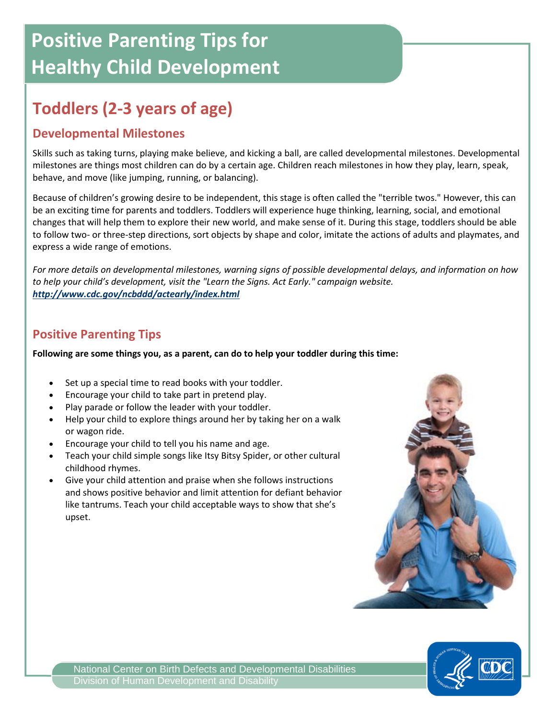# **Positive Parenting Tips for Healthy Child Development**

## **Toddlers (2-3 years of age)**

#### **Developmental Milestones**

Skills such as taking turns, playing make believe, and kicking a ball, are called developmental milestones. Developmental milestones are things most children can do by a certain age. Children reach milestones in how they play, learn, speak, behave, and move (like jumping, running, or balancing).

Because of children's growing desire to be independent, this stage is often called the "terrible twos." However, this can be an exciting time for parents and toddlers. Toddlers will experience huge thinking, learning, social, and emotional changes that will help them to explore their new world, and make sense of it. During this stage, toddlers should be able to follow two- or three-step directions, sort objects by shape and color, imitate the actions of adults and playmates, and express a wide range of emotions.

*For more details on developmental milestones, warning signs of possible developmental delays, and information on how to help your child's development, visit the "Learn the Signs. Act Early." campaign website. <http://www.cdc.gov/ncbddd/actearly/index.html>*

#### **Positive Parenting Tips**

**Following are some things you, as a parent, can do to help your toddler during this time:**

- Set up a special time to read books with your toddler.
- Encourage your child to take part in pretend play.
- Play parade or follow the leader with your toddler.
- Help your child to explore things around her by taking her on a walk or wagon ride.
- Encourage your child to tell you his name and age.
- Teach your child simple songs like Itsy Bitsy Spider, or other cultural childhood rhymes.
- Give your child attention and praise when she follows instructions and shows positive behavior and limit attention for defiant behavior like tantrums. Teach your child acceptable ways to show that she's upset.